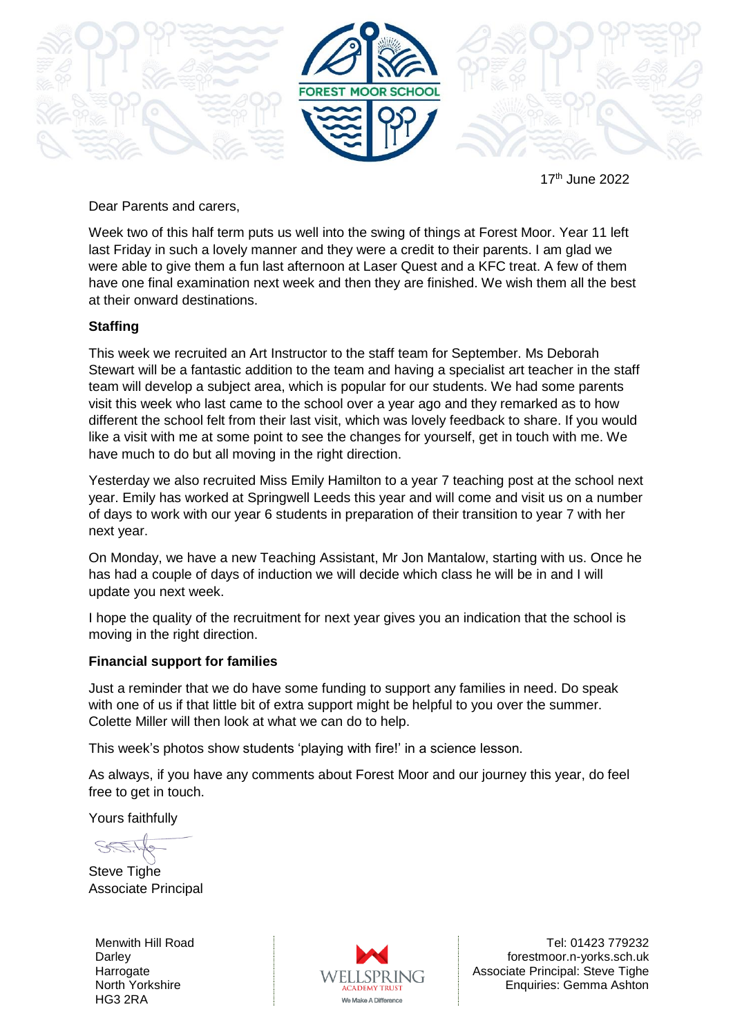

17 th June 2022

Dear Parents and carers,

Week two of this half term puts us well into the swing of things at Forest Moor. Year 11 left last Friday in such a lovely manner and they were a credit to their parents. I am glad we were able to give them a fun last afternoon at Laser Quest and a KFC treat. A few of them have one final examination next week and then they are finished. We wish them all the best at their onward destinations.

## **Staffing**

This week we recruited an Art Instructor to the staff team for September. Ms Deborah Stewart will be a fantastic addition to the team and having a specialist art teacher in the staff team will develop a subject area, which is popular for our students. We had some parents visit this week who last came to the school over a year ago and they remarked as to how different the school felt from their last visit, which was lovely feedback to share. If you would like a visit with me at some point to see the changes for yourself, get in touch with me. We have much to do but all moving in the right direction.

Yesterday we also recruited Miss Emily Hamilton to a year 7 teaching post at the school next year. Emily has worked at Springwell Leeds this year and will come and visit us on a number of days to work with our year 6 students in preparation of their transition to year 7 with her next year.

On Monday, we have a new Teaching Assistant, Mr Jon Mantalow, starting with us. Once he has had a couple of days of induction we will decide which class he will be in and I will update you next week.

I hope the quality of the recruitment for next year gives you an indication that the school is moving in the right direction.

## **Financial support for families**

Just a reminder that we do have some funding to support any families in need. Do speak with one of us if that little bit of extra support might be helpful to you over the summer. Colette Miller will then look at what we can do to help.

This week's photos show students 'playing with fire!' in a science lesson.

As always, if you have any comments about Forest Moor and our journey this year, do feel free to get in touch.

Yours faithfully

Steve Tighe Associate Principal

Menwith Hill Road **Darley Harrogate** North Yorkshire HG3 2RA



Tel: 01423 779232 forestmoor.n-yorks.sch.uk Associate Principal: Steve Tighe Enquiries: Gemma Ashton